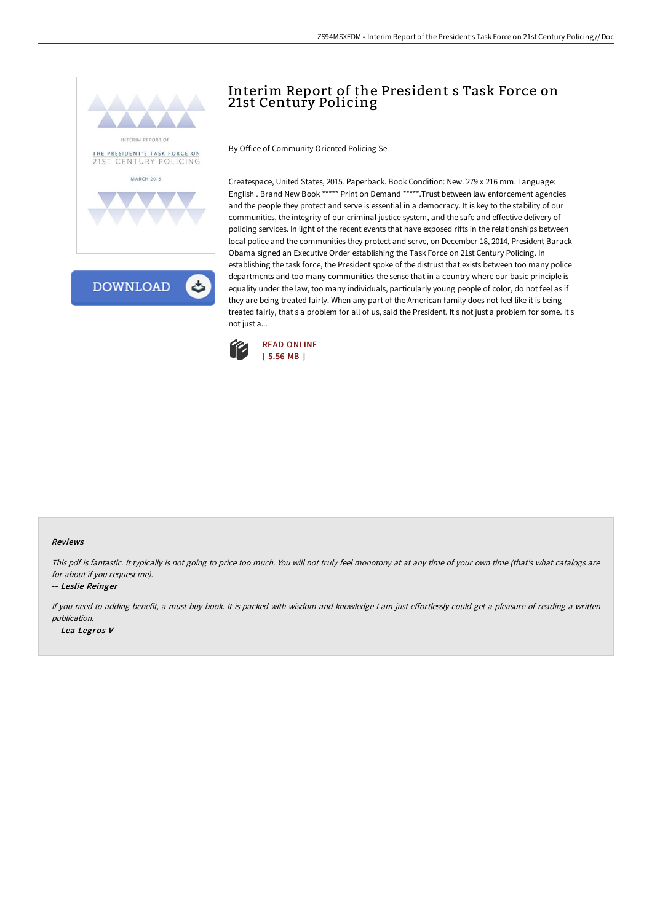



# Interim Report of the President s Task Force on 21st Century Policing

By Office of Community Oriented Policing Se

Createspace, United States, 2015. Paperback. Book Condition: New. 279 x 216 mm. Language: English . Brand New Book \*\*\*\*\* Print on Demand \*\*\*\*\*.Trust between law enforcement agencies and the people they protect and serve is essential in a democracy. It is key to the stability of our communities, the integrity of our criminal justice system, and the safe and effective delivery of policing services. In light of the recent events that have exposed rifts in the relationships between local police and the communities they protect and serve, on December 18, 2014, President Barack Obama signed an Executive Order establishing the Task Force on 21st Century Policing. In establishing the task force, the President spoke of the distrust that exists between too many police departments and too many communities-the sense that in a country where our basic principle is equality under the law, too many individuals, particularly young people of color, do not feel as if they are being treated fairly. When any part of the American family does not feel like it is being treated fairly, that s a problem for all of us, said the President. It s not just a problem for some. It s not just a...



#### Reviews

This pdf is fantastic. It typically is not going to price too much. You will not truly feel monotony at at any time of your own time (that's what catalogs are for about if you request me).

-- Leslie Reinger

If you need to adding benefit, a must buy book. It is packed with wisdom and knowledge I am just effortlessly could get a pleasure of reading a written publication. -- Lea Legros V